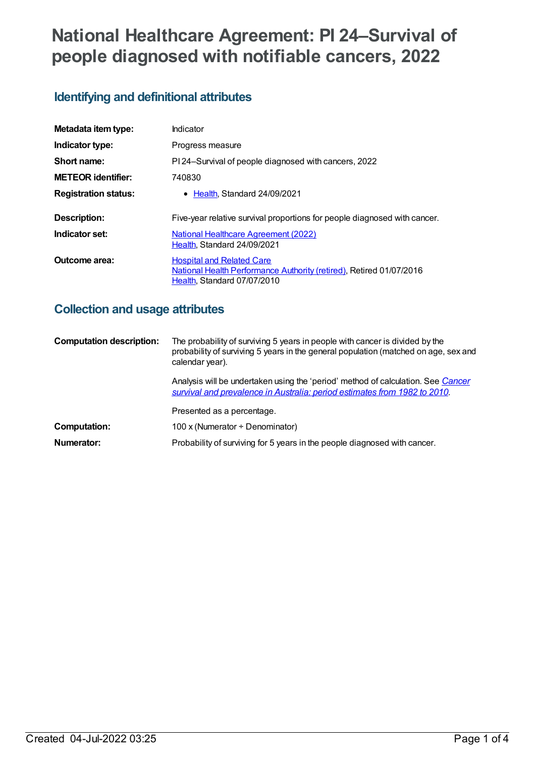# **National Healthcare Agreement: PI 24–Survival of people diagnosed with notifiable cancers, 2022**

## **Identifying and definitional attributes**

| Metadata item type:         | Indicator                                                                                                                              |
|-----------------------------|----------------------------------------------------------------------------------------------------------------------------------------|
| Indicator type:             | Progress measure                                                                                                                       |
| Short name:                 | PI 24-Survival of people diagnosed with cancers, 2022                                                                                  |
| <b>METEOR identifier:</b>   | 740830                                                                                                                                 |
| <b>Registration status:</b> | • Health Standard 24/09/2021                                                                                                           |
| Description:                | Five-year relative survival proportions for people diagnosed with cancer.                                                              |
| Indicator set:              | <b>National Healthcare Agreement (2022)</b><br>Health, Standard 24/09/2021                                                             |
| Outcome area:               | <b>Hospital and Related Care</b><br>National Health Performance Authority (retired), Retired 01/07/2016<br>Health, Standard 07/07/2010 |

## **Collection and usage attributes**

| <b>Computation description:</b> | The probability of surviving 5 years in people with cancer is divided by the<br>probability of surviving 5 years in the general population (matched on age, sex and<br>calendar year). |
|---------------------------------|----------------------------------------------------------------------------------------------------------------------------------------------------------------------------------------|
|                                 | Analysis will be undertaken using the 'period' method of calculation. See Cancer<br>survival and prevalence in Australia: period estimates from 1982 to 2010.                          |
|                                 | Presented as a percentage.                                                                                                                                                             |
| <b>Computation:</b>             | 100 x (Numerator $\div$ Denominator)                                                                                                                                                   |
| Numerator:                      | Probability of surviving for 5 years in the people diagnosed with cancer.                                                                                                              |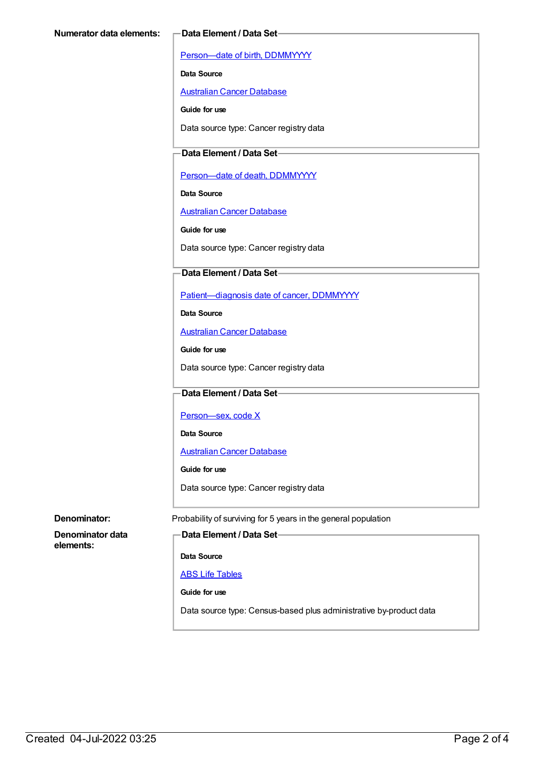[Person—date](https://meteor.aihw.gov.au/content/287007) of birth, DDMMYYYY

**Data Source**

[Australian](https://meteor.aihw.gov.au/content/393621) Cancer Database

**Guide for use**

Data source type: Cancer registry data

### **Data Element / Data Set**

Person-date of death, DDMMYYYY

**Data Source**

[Australian](https://meteor.aihw.gov.au/content/393621) Cancer Database

**Guide for use**

Data source type: Cancer registry data

## **Data Element / Data Set**

[Patient—diagnosis](https://meteor.aihw.gov.au/content/416129) date of cancer, DDMMYYYY

**Data Source**

[Australian](https://meteor.aihw.gov.au/content/393621) Cancer Database

**Guide for use**

Data source type: Cancer registry data

## **Data Element / Data Set**

Person-sex, code X

**Data Source**

[Australian](https://meteor.aihw.gov.au/content/393621) Cancer Database

**Guide for use**

Data source type: Cancer registry data

**Denominator data elements:**

**Denominator:** Probability of surviving for 5 years in the general population

**Data Element / Data Set**

**Data Source**

### ABS Life [Tables](https://meteor.aihw.gov.au/content/402041)

**Guide for use**

Data source type: Census-based plus administrative by-product data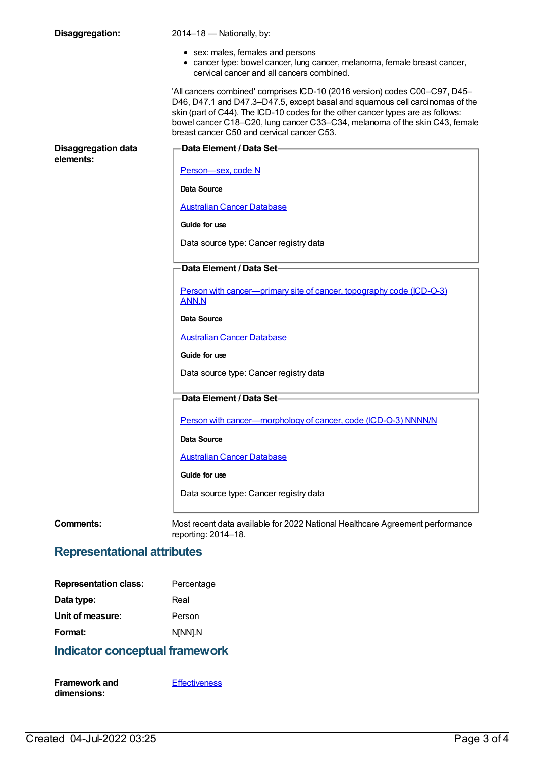| Disaggregation:                         | 2014-18 - Nationally, by:                                                                                                                                                                                                                                                                                                                                                  |
|-----------------------------------------|----------------------------------------------------------------------------------------------------------------------------------------------------------------------------------------------------------------------------------------------------------------------------------------------------------------------------------------------------------------------------|
|                                         | • sex: males, females and persons<br>• cancer type: bowel cancer, lung cancer, melanoma, female breast cancer,<br>cervical cancer and all cancers combined.                                                                                                                                                                                                                |
|                                         | 'All cancers combined' comprises ICD-10 (2016 version) codes C00-C97, D45-<br>D46, D47.1 and D47.3-D47.5, except basal and squamous cell carcinomas of the<br>skin (part of C44). The ICD-10 codes for the other cancer types are as follows:<br>bowel cancer C18-C20, lung cancer C33-C34, melanoma of the skin C43, female<br>breast cancer C50 and cervical cancer C53. |
| <b>Disaggregation data</b><br>elements: | ∙Data Element / Data Set−                                                                                                                                                                                                                                                                                                                                                  |
|                                         | Person-sex, code N                                                                                                                                                                                                                                                                                                                                                         |
|                                         | <b>Data Source</b>                                                                                                                                                                                                                                                                                                                                                         |
|                                         | <b>Australian Cancer Database</b>                                                                                                                                                                                                                                                                                                                                          |
|                                         | Guide for use                                                                                                                                                                                                                                                                                                                                                              |
|                                         | Data source type: Cancer registry data                                                                                                                                                                                                                                                                                                                                     |
|                                         | Data Element / Data Set-                                                                                                                                                                                                                                                                                                                                                   |
|                                         | Person with cancer—primary site of cancer, topography code (ICD-O-3)<br>ANN.N                                                                                                                                                                                                                                                                                              |
|                                         | Data Source                                                                                                                                                                                                                                                                                                                                                                |
|                                         | <b>Australian Cancer Database</b>                                                                                                                                                                                                                                                                                                                                          |
|                                         | Guide for use                                                                                                                                                                                                                                                                                                                                                              |
|                                         | Data source type: Cancer registry data                                                                                                                                                                                                                                                                                                                                     |
|                                         | Data Element / Data Set-                                                                                                                                                                                                                                                                                                                                                   |
|                                         | Person with cancer-morphology of cancer, code (ICD-O-3) NNNN/N                                                                                                                                                                                                                                                                                                             |
|                                         | Data Source                                                                                                                                                                                                                                                                                                                                                                |
|                                         | <b>Australian Cancer Database</b>                                                                                                                                                                                                                                                                                                                                          |
|                                         | Guide for use                                                                                                                                                                                                                                                                                                                                                              |
|                                         | Data source type: Cancer registry data                                                                                                                                                                                                                                                                                                                                     |
| <b>Comments:</b>                        | Most recent data available for 2022 National Healthcare Agreement performance<br>reporting: 2014-18.                                                                                                                                                                                                                                                                       |

# **Representational attributes**

| <b>Representation class:</b> | Percentage |
|------------------------------|------------|
| Data type:                   | Real       |
| Unit of measure:             | Person     |
| Format:                      | N[NN].N    |

# **Indicator conceptual framework**

| <b>Framework and</b> | <b>Effectiveness</b> |
|----------------------|----------------------|
| dimensions:          |                      |